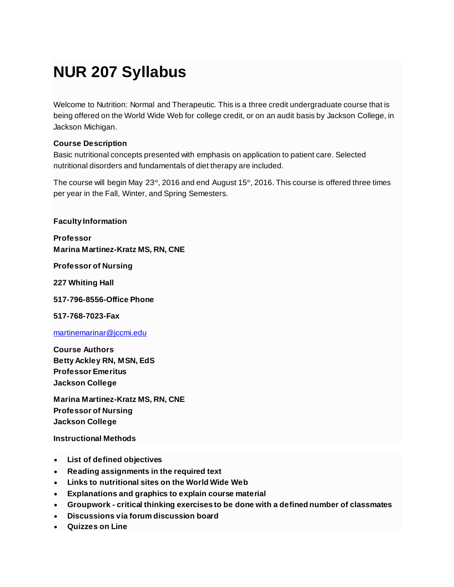# **NUR 207 Syllabus**

Welcome to Nutrition: Normal and Therapeutic. This is a three credit undergraduate course that is being offered on the World Wide Web for college credit, or on an audit basis by Jackson College, in Jackson Michigan.

#### **Course Description**

Basic nutritional concepts presented with emphasis on application to patient care. Selected nutritional disorders and fundamentals of diet therapy are included.

The course will begin May  $23<sup>rd</sup>$ , 2016 and end August 15<sup>th</sup>, 2016. This course is offered three times per year in the Fall, Winter, and Spring Semesters.

**Faculty Information**

**Professor Marina Martinez-Kratz MS, RN, CNE**

**Professor of Nursing**

**227 Whiting Hall**

**517-796-8556-Office Phone**

**517-768-7023-Fax**

[martinemarinar@jccmi.edu](http://jetnet.jccmi.edu/course/martinemarinar@jccmi.edu)

**Course Authors Betty Ackley RN, MSN, EdS Professor Emeritus Jackson College**

**Marina Martinez-Kratz MS, RN, CNE Professor of Nursing Jackson College**

**Instructional Methods**

- **List of defined objectives**
- **Reading assignments in the required text**
- **Links to nutritional sites on the World Wide Web**
- **Explanations and graphics to explain course material**
- **Groupwork - critical thinking exercises to be done with a defined number of classmates**
- **Discussions via forum discussion board**
- **Quizzes on Line**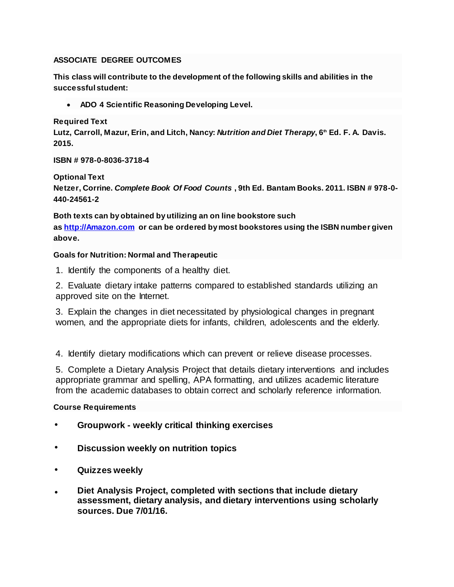#### **ASSOCIATE DEGREE OUTCOMES**

**This class will contribute to the development of the following skills and abilities in the successful student:**

**ADO 4 Scientific Reasoning Developing Level.**

**Required Text**

**Lutz, Carroll, Mazur, Erin, and Litch, Nancy:** *Nutrition and Diet Therapy***, 6th Ed. F. A. Davis. 2015.**

**ISBN # 978-0-8036-3718-4**

**Optional Text**

**Netzer, Corrine.** *Complete Book Of Food Counts* **, 9th Ed. Bantam Books. 2011. ISBN # 978-0- 440-24561-2**

**Both texts can by obtained by utilizing an on line bookstore such as [http://Amazon.com](http://amazon.com/) or can be ordered by most bookstores using the ISBN number given above.**

# **Goals for Nutrition: Normal and Therapeutic**

1. Identify the components of a healthy diet.

2. Evaluate dietary intake patterns compared to established standards utilizing an approved site on the Internet.

3. Explain the changes in diet necessitated by physiological changes in pregnant women, and the appropriate diets for infants, children, adolescents and the elderly.

4. Identify dietary modifications which can prevent or relieve disease processes.

5. Complete a Dietary Analysis Project that details dietary interventions and includes appropriate grammar and spelling, APA formatting, and utilizes academic literature from the academic databases to obtain correct and scholarly reference information.

# **Course Requirements**

- **Groupwork - weekly critical thinking exercises**
- **Discussion weekly on nutrition topics**
- **Quizzes weekly**
- **Diet Analysis Project, completed with sections that include dietary assessment, dietary analysis, and dietary interventions using scholarly sources. Due 7/01/16.**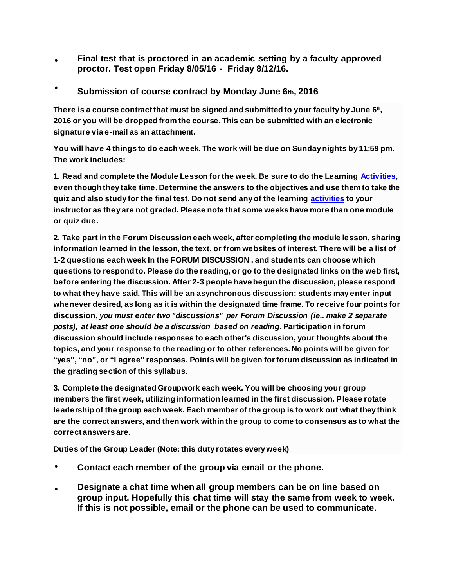- **Final test that is proctored in an academic setting by a faculty approved proctor. Test open Friday 8/05/16 - Friday 8/12/16.**
- **Submission of course contract by Monday June 6th, 2016**

**There is a course contract that must be signed and submitted to your faculty by June 6th , 2016 or you will be dropped from the course. This can be submitted with an electronic signature via e-mail as an attachment.**

**You will have 4 things to do each week. The work will be due on Sunday nights by 11:59 pm. The work includes:**

**1. Read and complete the Module Lesson for the week. Be sure to do the Learning [Activities](http://jetnet.jccmi.edu/mod/glossary/showentry.php?eid=289&displayformat=dictionary), even though they take time. Determine the answers to the objectives and use them to take the quiz and also study for the final test. Do not send any of the learning [activities](http://jetnet.jccmi.edu/mod/glossary/showentry.php?eid=289&displayformat=dictionary) to your instructor as they are not graded. Please note that some weeks have more than one module or quiz due.**

**2. Take part in the Forum Discussion each week, after completing the module lesson, sharing information learned in the lesson, the text, or from websites of interest. There will be a list of 1-2 questions each week In the FORUM DISCUSSION , and students can choose which questions to respond to. Please do the reading, or go to the designated links on the web first, before entering the discussion. After 2-3 people have begun the discussion, please respond to what they have said. This will be an asynchronous discussion; students may enter input whenever desired, as long as it is within the designated time frame. To receive four points for discussion,** *you must enter two "discussions" per Forum Discussion (ie.. make 2 separate posts), at least one should be a discussion based on reading***. Participation in forum discussion should include responses to each other's discussion, your thoughts about the topics, and your response to the reading or to other references. No points will be given for "yes", "no", or "I agree" responses. Points will be given for forum discussion as indicated in the grading section of this syllabus.**

**3. Complete the designated Groupwork each week. You will be choosing your group members the first week, utilizing information learned in the first discussion. Please rotate leadership of the group each week. Each member of the group is to work out what they think are the correct answers, and then work within the group to come to consensus as to what the correct answers are.**

**Duties of the Group Leader (Note: this duty rotates every week)**

- **Contact each member of the group via email or the phone.**
- **Designate a chat time when all group members can be on line based on group input. Hopefully this chat time will stay the same from week to week. If this is not possible, email or the phone can be used to communicate.**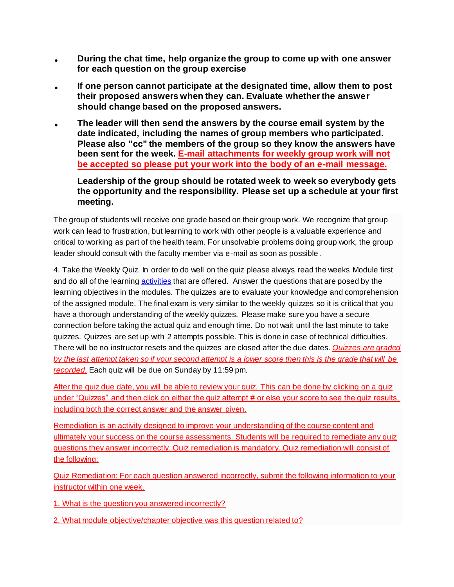- **During the chat time, help organize the group to come up with one answer for each question on the group exercise**
- **If one person cannot participate at the designated time, allow them to post their proposed answers when they can. Evaluate whether the answer should change based on the proposed answers.**
- **The leader will then send the answers by the course email system by the date indicated, including the names of group members who participated. Please also "cc" the members of the group so they know the answers have been sent for the week. E-mail attachments for weekly group work will not be accepted so please put your work into the body of an e-mail message.**

# **Leadership of the group should be rotated week to week so everybody gets the opportunity and the responsibility. Please set up a schedule at your first meeting.**

The group of students will receive one grade based on their group work. We recognize that group work can lead to frustration, but learning to work with other people is a valuable experience and critical to working as part of the health team. For unsolvable problems doing group work, the group leader should consult with the faculty member via e-mail as soon as possible .

4. Take the Weekly Quiz. In order to do well on the quiz please always read the weeks Module first and do all of the learning **[activities](http://jetnet.jccmi.edu/mod/glossary/showentry.php?eid=289&displayformat=dictionary)** that are offered. Answer the questions that are posed by the learning objectives in the modules. The quizzes are to evaluate your knowledge and comprehension of the assigned module. The final exam is very similar to the weekly quizzes so it is critical that you have a thorough understanding of the weekly quizzes. Please make sure you have a secure connection before taking the actual quiz and enough time. Do not wait until the last minute to take quizzes. Quizzes are set up with 2 attempts possible. This is done in case of technical difficulties. There will be no instructor resets and the quizzes are closed after the due dates. *Quizzes are graded by the last attempt taken so if your second attempt is a lower score then this is the grade that will be recorded.* Each quiz will be due on Sunday by 11:59 pm.

After the quiz due date, you will be able to review your quiz. This can be done by clicking on a quiz under "Quizzes" and then click on either the quiz attempt # or else your score to see the quiz results, including both the correct answer and the answer given.

Remediation is an activity designed to improve your understanding of the course content and ultimately your success on the course assessments. Students will be required to remediate any quiz questions they answer incorrectly. Quiz remediation is mandatory. Quiz remediation will consist of the following:

Quiz Remediation: For each question answered incorrectly, submit the following information to your instructor within one week.

1. What is the question you answered incorrectly?

2. What module objective/chapter objective was this question related to?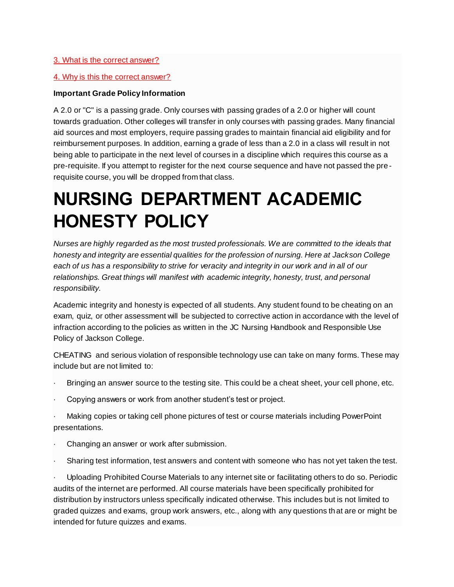#### 3. What is the correct answer?

#### 4. Why is this the correct answer?

#### **Important Grade Policy Information**

A 2.0 or "C" is a passing grade. Only courses with passing grades of a 2.0 or higher will count towards graduation. Other colleges will transfer in only courses with passing grades. Many financial aid sources and most employers, require passing grades to maintain financial aid eligibility and for reimbursement purposes. In addition, earning a grade of less than a 2.0 in a class will result in not being able to participate in the next level of courses in a discipline which requires this course as a pre-requisite. If you attempt to register for the next course sequence and have not passed the pre requisite course, you will be dropped from that class.

# **NURSING DEPARTMENT ACADEMIC HONESTY POLICY**

*Nurses are highly regarded as the most trusted professionals. We are committed to the ideals that honesty and integrity are essential qualities for the profession of nursing. Here at Jackson College each of us has a responsibility to strive for veracity and integrity in our work and in all of our relationships. Great things will manifest with academic integrity, honesty, trust, and personal responsibility.*

Academic integrity and honesty is expected of all students. Any student found to be cheating on an exam, quiz, or other assessment will be subjected to corrective action in accordance with the level of infraction according to the policies as written in the JC Nursing Handbook and Responsible Use Policy of Jackson College.

CHEATING and serious violation of responsible technology use can take on many forms. These may include but are not limited to:

- Bringing an answer source to the testing site. This could be a cheat sheet, your cell phone, etc.
- · Copying answers or work from another student's test or project.
- · Making copies or taking cell phone pictures of test or course materials including PowerPoint presentations.
- Changing an answer or work after submission.
- Sharing test information, test answers and content with someone who has not yet taken the test.

· Uploading Prohibited Course Materials to any internet site or facilitating others to do so. Periodic audits of the internet are performed. All course materials have been specifically prohibited for distribution by instructors unless specifically indicated otherwise. This includes but is not limited to graded quizzes and exams, group work answers, etc., along with any questions that are or might be intended for future quizzes and exams.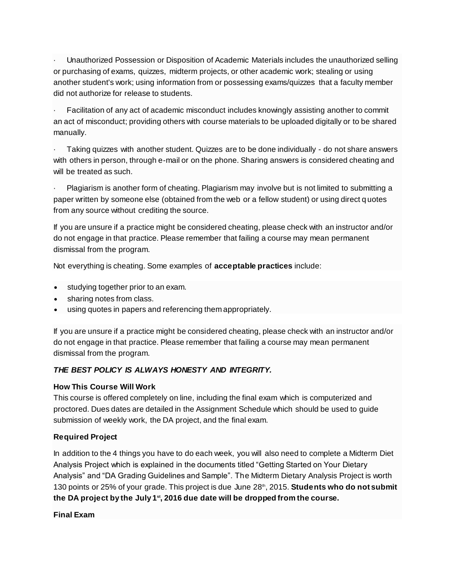· Unauthorized Possession or Disposition of Academic Materials includes the unauthorized selling or purchasing of exams, quizzes, midterm projects, or other academic work; stealing or using another student's work; using information from or possessing exams/quizzes that a faculty member did not authorize for release to students.

Facilitation of any act of academic misconduct includes knowingly assisting another to commit an act of misconduct; providing others with course materials to be uploaded digitally or to be shared manually.

· Taking quizzes with another student. Quizzes are to be done individually - do not share answers with others in person, through e-mail or on the phone. Sharing answers is considered cheating and will be treated as such.

· Plagiarism is another form of cheating. Plagiarism may involve but is not limited to submitting a paper written by someone else (obtained from the web or a fellow student) or using direct q uotes from any source without crediting the source.

If you are unsure if a practice might be considered cheating, please check with an instructor and/or do not engage in that practice. Please remember that failing a course may mean permanent dismissal from the program.

Not everything is cheating. Some examples of **acceptable practices** include:

- studying together prior to an exam.
- sharing notes from class.
- using quotes in papers and referencing them appropriately.

If you are unsure if a practice might be considered cheating, please check with an instructor and/or do not engage in that practice. Please remember that failing a course may mean permanent dismissal from the program.

# *THE BEST POLICY IS ALWAYS HONESTY AND INTEGRITY.*

#### **How This Course Will Work**

This course is offered completely on line, including the final exam which is computerized and proctored. Dues dates are detailed in the Assignment Schedule which should be used to guide submission of weekly work, the DA project, and the final exam.

#### **Required Project**

In addition to the 4 things you have to do each week, you will also need to complete a Midterm Diet Analysis Project which is explained in the documents titled "Getting Started on Your Dietary Analysis" and "DA Grading Guidelines and Sample". The Midterm Dietary Analysis Project is worth 130 points or 25% of your grade. This project is due June 28<sup>th</sup>, 2015. **Students who do not submit the DA project by the July 1st, 2016 due date will be dropped from the course.**

**Final Exam**